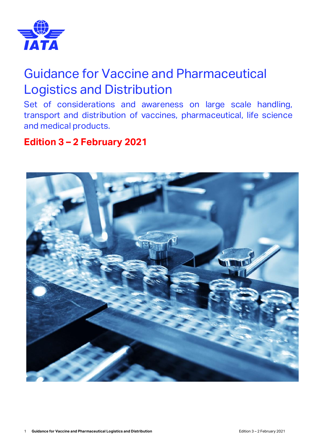

# Guidance for Vaccine and Pharmaceutical Logistics and Distribution

Set of considerations and awareness on large scale handling, transport and distribution of vaccines, pharmaceutical, life science and medical products.

## **Edition 3 – 2 February 2021**

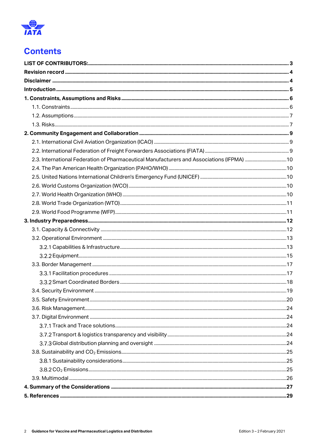

## **Contents**

| 2.3. International Federation of Pharmaceutical Manufacturers and Associations (IFPMA)  10 |  |
|--------------------------------------------------------------------------------------------|--|
|                                                                                            |  |
|                                                                                            |  |
|                                                                                            |  |
|                                                                                            |  |
|                                                                                            |  |
|                                                                                            |  |
|                                                                                            |  |
|                                                                                            |  |
|                                                                                            |  |
|                                                                                            |  |
|                                                                                            |  |
|                                                                                            |  |
|                                                                                            |  |
|                                                                                            |  |
|                                                                                            |  |
|                                                                                            |  |
|                                                                                            |  |
|                                                                                            |  |
|                                                                                            |  |
|                                                                                            |  |
|                                                                                            |  |
|                                                                                            |  |
|                                                                                            |  |
|                                                                                            |  |
|                                                                                            |  |
|                                                                                            |  |
|                                                                                            |  |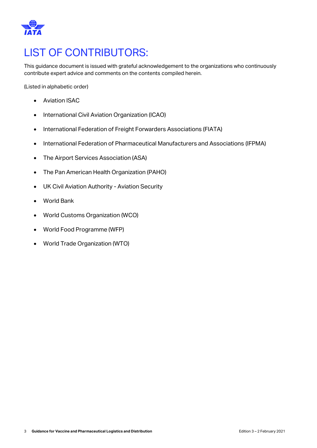

# <span id="page-2-0"></span>LIST OF CONTRIBUTORS:

This guidance document is issued with grateful acknowledgement to the organizations who continuously contribute expert advice and comments on the contents compiled herein.

(Listed in alphabetic order)

- Aviation ISAC
- International Civil Aviation Organization (ICAO)
- International Federation of Freight Forwarders Associations (FIATA)
- International Federation of Pharmaceutical Manufacturers and Associations (IFPMA)
- The Airport Services Association (ASA)
- The Pan American Health Organization (PAHO)
- UK Civil Aviation Authority Aviation Security
- World Bank
- World Customs Organization (WCO)
- World Food Programme (WFP)
- World Trade Organization (WTO)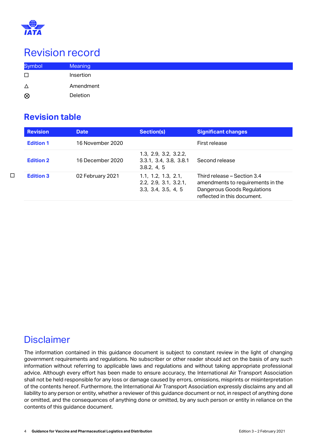

# <span id="page-3-0"></span>Revision record

| <b>Symbol</b> | <b>Meaning</b> |
|---------------|----------------|
| □             | Insertion      |
| Δ             | Amendment      |
| $\otimes$     | Deletion       |

### **Revision table**

| <b>Revision</b>  | <b>Date</b>      | <b>Section(s)</b>                                                   | <b>Significant changes</b>                                                                                                     |
|------------------|------------------|---------------------------------------------------------------------|--------------------------------------------------------------------------------------------------------------------------------|
| <b>Edition 1</b> | 16 November 2020 |                                                                     | First release                                                                                                                  |
| <b>Edition 2</b> | 16 December 2020 | 1.3, 2.9, 3.2, 3.2.2,<br>3.3.1, 3.4, 3.8, 3.8.1<br>3.8.2, 4.5       | Second release                                                                                                                 |
| <b>Edition 3</b> | 02 February 2021 | 1.1, 1.2, 1.3, 2.1,<br>2.2, 2.9, 3.1, 3.2.1,<br>3.3, 3.4, 3.5, 4, 5 | Third release – Section 3.4<br>amendments to requirements in the<br>Dangerous Goods Regulations<br>reflected in this document. |

□

## <span id="page-3-1"></span>**Disclaimer**

The information contained in this guidance document is subject to constant review in the light of changing government requirements and regulations. No subscriber or other reader should act on the basis of any such information without referring to applicable laws and regulations and without taking appropriate professional advice. Although every effort has been made to ensure accuracy, the International Air Transport Association shall not be held responsible for any loss or damage caused by errors, omissions, misprints or misinterpretation of the contents hereof. Furthermore, the International Air Transport Association expressly disclaims any and all liability to any person or entity, whether a reviewer of this guidance document or not, in respect of anything done or omitted, and the consequences of anything done or omitted, by any such person or entity in reliance on the contents of this guidance document.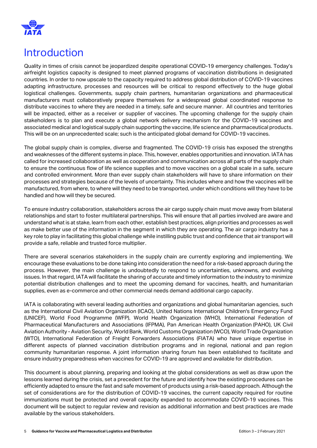

# <span id="page-4-0"></span>Introduction

Quality in times of crisis cannot be jeopardized despite operational COVID-19 emergency challenges. Today's airfreight logistics capacity is designed to meet planned programs of vaccination distributions in designated countries. In order to now upscale to the capacity required to address global distribution of COVID-19 vaccines adapting infrastructure, processes and resources will be critical to respond effectively to the huge global logistical challenges. Governments, supply chain partners, humanitarian organizations and pharmaceutical manufacturers must collaboratively prepare themselves for a widespread global coordinated response to distribute vaccines to where they are needed in a timely, safe and secure manner. All countries and territories will be impacted, either as a receiver or supplier of vaccines. The upcoming challenge for the supply chain stakeholders is to plan and execute a global network delivery mechanism for the COVID-19 vaccines and associated medical and logistical supply chain supporting the vaccine, life science and pharmaceutical products. This will be on an unprecedented scale; such is the anticipated global demand for COVID-19 vaccines.

The global supply chain is complex, diverse and fragmented. The COVID-19 crisis has exposed the strengths and weaknesses of the different systems in place. This, however, enables opportunities and innovation. IATA has called for increased collaboration as well as cooperation and communication across all parts of the supply chain to ensure the continuous flow of life science supplies and to move vaccines on a global scale in a safe, secure and controlled environment. More than ever supply chain stakeholders will have to share information on their processes and strategies because of the levels of uncertainty. This includes where and how the vaccines will be manufactured, from where, to where will they need to be transported, under which conditions will they have to be handled and how will they be secured.

To ensure industry collaboration, stakeholders across the air cargo supply chain must move away from bilateral relationships and start to foster multilateral partnerships. This will ensure that all parties involved are aware and understand what is at stake, learn from each other, establish best practices, align priorities and processes as well as make better use of the information in the segment in which they are operating. The air cargo industry has a key role to play in facilitating this global challenge while instilling public trust and confidence that air transport will provide a safe, reliable and trusted force multiplier.

There are several scenarios stakeholders in the supply chain are currently exploring and implementing. We encourage these evaluations to be done taking into consideration the need for a risk-based approach during the process. However, the main challenge is undoubtedly to respond to uncertainties, unknowns, and evolving issues. In that regard, IATA will facilitate the sharing of accurate and timely information to the industry to minimize potential distribution challenges and to meet the upcoming demand for vaccines, health, and humanitarian supplies, even as e-commerce and other commercial needs demand additional cargo capacity.

IATA is collaborating with several leading authorities and organizations and global humanitarian agencies, such as the International Civil Aviation Organization (ICAO), United Nations International Children's Emergency Fund (UNICEF), World Food Programme (WFP), World Health Organization (WHO), International Federation of Pharmaceutical Manufacturers and Associations (IFPMA), Pan American Health Organization (PAHO), UK Civil Aviation Authority - Aviation Security, World Bank, World Customs Organization (WCO), World Trade Organization (WTO), International Federation of Freight Forwarders Associations (FIATA) who have unique expertise in different aspects of planned vaccination distribution programs and in regional, national and pan region community humanitarian response. A joint information sharing forum has been established to facilitate and ensure industry preparedness when vaccines for COVID-19 are approved and available for distribution.

This document is about planning, preparing and looking at the global considerations as well as draw upon the lessons learned during the crisis, set a precedent for the future and identify how the existing procedures can be efficiently adapted to ensure the fast and safe movement of products using a risk-based approach. Although the set of considerations are for the distribution of COVID-19 vaccines, the current capacity required for routine immunizations must be protected and overall capacity expanded to accommodate COVID-19 vaccines. This document will be subject to regular review and revision as additional information and best practices are made available by the various stakeholders.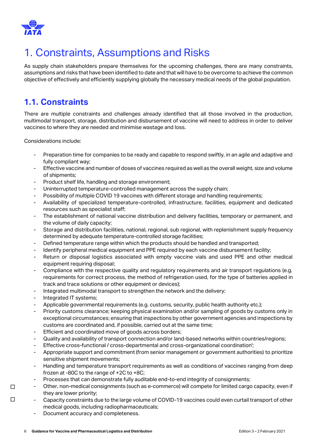

# <span id="page-5-0"></span>1. Constraints, Assumptions and Risks

As supply chain stakeholders prepare themselves for the upcoming challenges, there are many constraints, assumptions and risks that have been identified to date and that will have to be overcome to achieve the common objective of effectively and efficiently supplying globally the necessary medical needs of the global population.

## <span id="page-5-1"></span>**1.1. Constraints**

There are multiple constraints and challenges already identified that all those involved in the production, multimodal transport, storage, distribution and disbursement of vaccine will need to address in order to deliver vaccines to where they are needed and minimise wastage and loss.

Considerations include:

- Preparation time for companies to be ready and capable to respond swiftly, in an agile and adaptive and fully compliant way;
- Effective vaccine and number of doses of vaccines required as well as the overall weight, size and volume of shipments;
- Product shelf life, handling and storage environment;
- Uninterrupted temperature-controlled management across the supply chain;
- Possibility of multiple COVID 19 vaccines with different storage and handling requirements;
- Availability of specialized temperature-controlled, infrastructure, facilities, equipment and dedicated resources such as specialist staff;
- The establishment of national vaccine distribution and delivery facilities, temporary or permanent, and the volume of daily capacity;
- Storage and distribution facilities, national, regional, sub regional, with replenishment supply frequency determined by adequate temperature-controlled storage facilities;
- Defined temperature range within which the products should be handled and transported;
- Identify peripheral medical equipment and PPE required by each vaccine disbursement facility;
- Return or disposal logistics associated with empty vaccine vials and used PPE and other medical equipment requiring disposal;
- Compliance with the respective quality and regulatory requirements and air transport regulations (e.g. requirements for correct process, the method of refrigeration used, for the type of batteries applied in track and trace solutions or other equipment or devices);
- Integrated multimodal transport to strengthen the network and the delivery;
- Integrated IT systems;

□

□

- Applicable governmental requirements (e.g. customs, security, public health authority etc.);
- Priority customs clearance; keeping physical examination and/or sampling of goods by customs only in exceptional circumstances; ensuring that inspections by other government agencies and inspections by customs are coordinated and, if possible, carried out at the same time;
- Efficient and coordinated move of goods across borders;
- Quality and availability of transport connection and/or land-based networks within countries/regions;
- Effective cross-functional / cross-departmental and cross-organizational coordination';
- Appropriate support and commitment (from senior management or government authorities) to prioritize sensitive shipment movements;
- Handling and temperature transport requirements as well as conditions of vaccines ranging from deep frozen at -80C to the range of +2C to +8C;
- Processes that can demonstrate fully auditable end-to-end integrity of consignments;
- Other, non-medical consignments (such as e-commerce) will compete for limited cargo capacity, even if they are lower priority;
- Capacity constraints due to the large volume of COVID-19 vaccines could even curtail transport of other medical goods, including radiopharmaceuticals;
- Document accuracy and completeness.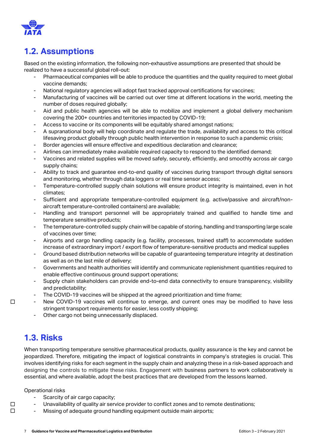

## <span id="page-6-0"></span>**1.2. Assumptions**

Based on the existing information, the following non-exhaustive assumptions are presented that should be realized to have a successful global roll-out:

- Pharmaceutical companies will be able to produce the quantities and the quality required to meet global vaccine demands;
- National regulatory agencies will adopt fast tracked approval certifications for vaccines;
- Manufacturing of vaccines will be carried out over time at different locations in the world, meeting the number of doses required globally;
- Aid and public health agencies will be able to mobilize and implement a global delivery mechanism covering the 200+ countries and territories impacted by COVID-19;
- Access to vaccine or its components will be equitably shared amongst nations;
- A supranational body will help coordinate and regulate the trade, availability and access to this critical lifesaving product globally through public health intervention in response to such a pandemic crisis;
- Border agencies will ensure effective and expeditious declaration and clearance;
- Airlines can immediately make available required capacity to respond to the identified demand;
- Vaccines and related supplies will be moved safely, securely, efficiently, and smoothly across air cargo supply chains;
- Ability to track and guarantee end-to-end quality of vaccines during transport through digital sensors and monitoring, whether through data loggers or real time sensor access;
- Temperature-controlled supply chain solutions will ensure product integrity is maintained, even in hot climates;
- Sufficient and appropriate temperature-controlled equipment (e.g. active/passive and aircraft/nonaircraft temperature-controlled containers) are available;
- Handling and transport personnel will be appropriately trained and qualified to handle time and temperature sensitive products;
- The temperature-controlled supply chain will be capable of storing, handling and transporting large scale of vaccines over time;
- Airports and cargo handling capacity (e.g. facility, processes, trained staff) to accommodate sudden increase of extraordinary import / export flow of temperature-sensitive products and medical supplies
- Ground based distribution networks will be capable of guaranteeing temperature integrity at destination as well as on the last mile of delivery;
- Governments and health authorities will identify and communicate replenishment quantities required to enable effective continuous ground support operations;
- Supply chain stakeholders can provide end-to-end data connectivity to ensure transparency, visibility and predictability;
- The COVID-19 vaccines will be shipped at the agreed prioritization and time frame;
- New COVID-19 vaccines will continue to emerge, and current ones may be modified to have less stringent transport requirements for easier, less costly shipping;
	- Other cargo not being unnecessarily displaced.

### <span id="page-6-1"></span>**1.3. Risks**

□

□ □ When transporting temperature sensitive pharmaceutical products, quality assurance is the key and cannot be jeopardized. Therefore, mitigating the impact of logistical constraints in company's strategies is crucial. This involves identifying risks for each segment in the supply chain and analyzing these in a risk-based approach and designing the controls to mitigate these risks. Engagement with business partners to work collaboratively is essential, and where available, adopt the best practices that are developed from the lessons learned.

Operational risks

- Scarcity of air cargo capacity;
- Unavailability of quality air service provider to conflict zones and to remote destinations;
- Missing of adequate ground handling equipment outside main airports;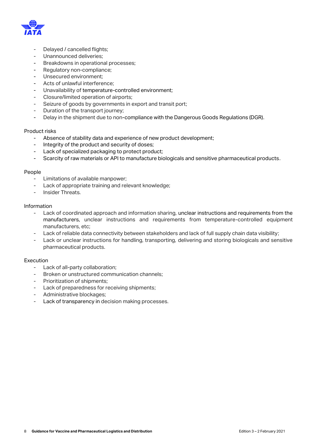

- Delayed / cancelled flights;
- Unannounced deliveries:
- Breakdowns in operational processes;
- Regulatory non-compliance;
- Unsecured environment;
- Acts of unlawful interference;
- Unavailability of temperature-controlled environment;
- Closure/limited operation of airports;
- Seizure of goods by governments in export and transit port;
- Duration of the transport journey;
- Delay in the shipment due to non-compliance with the Dangerous Goods Regulations (DGR).

#### Product risks

- Absence of stability data and experience of new product development;
- Integrity of the product and security of doses;
- Lack of specialized packaging to protect product;
- Scarcity of raw materials or API to manufacture biologicals and sensitive pharmaceutical products.

#### People

- Limitations of available manpower;
- Lack of appropriate training and relevant knowledge;
- Insider Threats.

#### Information

- Lack of coordinated approach and information sharing, unclear instructions and requirements from the manufacturers, unclear instructions and requirements from temperature-controlled equipment manufacturers, etc;
- Lack of reliable data connectivity between stakeholders and lack of full supply chain data visibility;
- Lack or unclear instructions for handling, transporting, delivering and storing biologicals and sensitive pharmaceutical products.

#### Execution

- Lack of all-party collaboration;
- Broken or unstructured communication channels;
- Prioritization of shipments;
- Lack of preparedness for receiving shipments;
- Administrative blockages;
- Lack of transparency in decision making processes.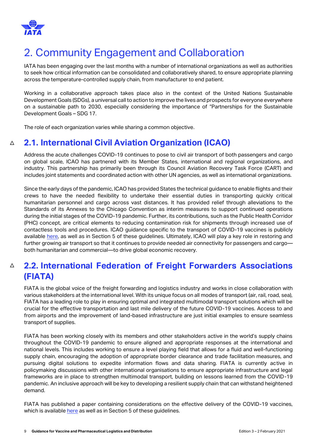

# <span id="page-8-0"></span>2. Community Engagement and Collaboration

IATA has been engaging over the last months with a number of international organizations as well as authorities to seek how critical information can be consolidated and collaboratively shared, to ensure appropriate planning across the temperature-controlled supply chain, from manufacturer to end patient.

Working in a collaborative approach takes place also in the context of the United Nations Sustainable Development Goals (SDGs), a universal call to action to improve the lives and prospects for everyone everywhere on a sustainable path to 2030, especially considering the importance of "Partnerships for the Sustainable Development Goals – [SDG 17.](https://www.un.org/sustainabledevelopment/globalpartnerships/)

The role of each organization varies while sharing a common objective.

#### <span id="page-8-1"></span> $\Delta$ **2.1. International Civil Aviation Organization (ICAO)**

Address the acute challenges COVID-19 continues to pose to civil air transport of both passengers and cargo on global scale, ICAO has partnered with its Member States, international and regional organizations, and industry. This partnership has primarily been through its Council Aviation Recovery Task Force (CART) and includes joint statements and coordinated action with other UN agencies, as well as international organizations.

Since the early days of the pandemic, ICAO has provided States the technical guidance to enable flights and their crews to have the needed flexibility to undertake their essential duties in transporting quickly critical humanitarian personnel and cargo across vast distances. It has provided relief through alleviations to the Standards of its Annexes to the Chicago Convention as interim measures to support continued operations during the initial stages of the COVID-19 pandemic. Further, its contributions, such as the Public Health Corridor (PHC) concept, are critical elements to reducing contamination risk for shipments through increased use of contactless tools and procedures. ICAO guidance specific to the transport of COVID-19 vaccines is publicly available [here,](https://www.icao.int/safety/OPS/OPS-Normal/Pages/Vaccines-Transport.aspx) as well as in Section 5 of these guidelines. Ultimately, ICAO will play a key role in restoring and further growing air transport so that it continues to provide needed air connectivity for passengers and cargo both humanitarian and commercial—to drive global economic recovery.

#### <span id="page-8-2"></span> $\triangle$ **2.2. International Federation of Freight Forwarders Associations (FIATA)**

FIATA is the global voice of the freight forwarding and logistics industry and works in close collaboration with various stakeholders at the international level. With its unique focus on all modes of transport (air, rail, road, sea), FIATA has a leading role to play in ensuring optimal and integrated multimodal transport solutions which will be crucial for the effective transportation and last mile delivery of the future COVID-19 vaccines. Access to and from airports and the improvement of land-based infrastructure are just initial examples to ensure seamless transport of supplies.

FIATA has been working closely with its members and other stakeholders active in the world's supply chains throughout the COVID-19 pandemic to ensure aligned and appropriate responses at the international and national levels. This includes working to ensure a level playing field that allows for a fluid and well-functioning supply chain, encouraging the adoption of appropriate border clearance and trade facilitation measures, and pursuing digital solutions to expedite information flows and data sharing. FIATA is currently active in policymaking discussions with other international organisations to ensure appropriate infrastructure and legal frameworks are in place to strengthen multimodal transport, building on lessons learned from the COVID-19 pandemic. An inclusive approach will be key to developing a resilient supply chain that can withstand heightened demand.

FIATA has published a paper containing considerations on the effective delivery of the COVID-19 vaccines, which is available [here](https://fiata.com/fileadmin/user_upload/2021_documents/Publications/FIATA_considerations_on_the_effective_delivery_of_the_COVID-19_vaccines.pdf) as well as in Section 5 of these guidelines.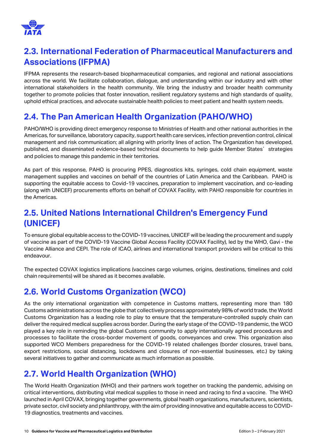

## <span id="page-9-0"></span>**2.3. International Federation of Pharmaceutical Manufacturers and Associations (IFPMA)**

IFPMA represents the research-based biopharmaceutical companies, and regional and national associations across the world. We facilitate collaboration, dialogue, and understanding within our industry and with other international stakeholders in the health community. We bring the industry and broader health community together to promote policies that foster innovation, resilient regulatory systems and high standards of quality, uphold ethical practices, and advocate sustainable health policies to meet patient and health system needs.

## <span id="page-9-1"></span>**2.4. The Pan American Health Organization (PAHO/WHO)**

PAHO/WHO is providing direct emergency response to Ministries of Health and other national authorities in the Americas, for surveillance, laboratory capacity, support health care services, infection prevention control, clinical management and risk communication; all aligning with priority lines of action. The Organization has developed, published, and disseminated evidence-based technical documents to help quide Member States' strategies and policies to manage this pandemic in their territories.

As part of this response, PAHO is procuring PPES, diagnostics kits, syringes, cold chain equipment, waste management supplies and vaccines on behalf of the countries of Latin America and the Caribbean. PAHO is supporting the equitable access to Covid-19 vaccines, preparation to implement vaccination, and co-leading (along with UNICEF) procurements efforts on behalf of COVAX Facility, with PAHO responsible for countries in the Americas.

## <span id="page-9-2"></span>**2.5. United Nations International Children's Emergency Fund (UNICEF)**

To ensure global equitable access to the COVID-19 vaccines, UNICEF will be leading the procurement and supply of vaccine as part of the COVID-19 Vaccine Global Access Facility (COVAX Facility), led by the WHO, Gavi - the Vaccine Alliance and CEPI. The role of ICAO, airlines and international transport providers will be critical to this endeavour.

The expected COVAX logistics implications (vaccines cargo volumes, origins, destinations, timelines and cold chain requirements) will be shared as it becomes available.

### <span id="page-9-3"></span>**2.6. World Customs Organization (WCO)**

As the only international organization with competence in Customs matters, representing more than 180 Customs administrations across the globe that collectively process approximately 98% of world trade, the World Customs Organization has a leading role to play to ensure that the temperature-controlled supply chain can deliver the required medical supplies across border. During the early stage of the COVID-19 pandemic, the WCO played a key role in reminding the global Customs community to apply internationally agreed procedures and processes to facilitate the cross-border movement of goods, conveyances and crew. This organization also supported WCO Members preparedness for the COVID-19 related challenges (border closures, travel bans, export restrictions, social distancing, lockdowns and closures of non-essential businesses, etc.) by taking several initiatives to gather and communicate as much information as possible.

## <span id="page-9-4"></span>**2.7. World Health Organization (WHO)**

The World Health Organization (WHO) and their partners work together on tracking the pandemic, advising on critical interventions, distributing vital medical supplies to those in need and racing to find a vaccine. The WHO launched in April COVAX, bringing together governments, global health organizations, manufacturers, scientists, private sector, civil society and philanthropy, with the aim of providing innovative and equitable access to COVID-19 diagnostics, treatments and vaccines.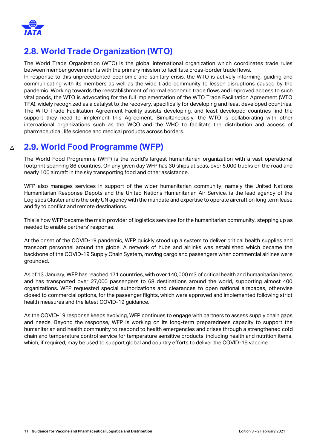

## <span id="page-10-0"></span>**2.8. World Trade Organization (WTO)**

The World Trade Organization (WTO) is the global international organization which coordinates trade rules between member governments with the primary mission to facilitate cross-border trade flows.

In response to this unprecedented economic and sanitary crisis, the WTO is actively informing, guiding and communicating with its members as well as the wide trade community to lessen disruptions caused by the pandemic. Working towards the reestablishment of normal economic trade flows and improved access to such vital goods, the WTO is advocating for the full implementation of the WTO Trade Facilitation Agreement (WTO TFA), widely recognized as a catalyst to the recovery, specifically for developing and least developed countries. The WTO Trade Facilitation Agreement Facility assists developing, and least developed countries find the support they need to implement this Agreement. Simultaneously, the WTO is collaborating with other international organizations such as the WCO and the WHO to facilitate the distribution and access of pharmaceutical, life science and medical products across borders.

#### <span id="page-10-1"></span> $\triangle$ **2.9. World Food Programme (WFP)**

The World Food Programme (WFP) is the world's largest humanitarian organization with a vast operational footprint spanning 86 countries. On any given day WFP has 30 ships at seas, over 5,000 trucks on the road and nearly 100 aircraft in the sky transporting food and other assistance.

WFP also manages services in support of the wider humanitarian community, namely the United Nations Humanitarian Response Depots and the United Nations Humanitarian Air Service, is the lead agency of the Logistics Cluster and is the only UN agency with the mandate and expertise to operate aircraft on long term lease and fly to conflict and remote destinations.

This is how WFP became the main provider of logistics services for the humanitarian community, stepping up as needed to enable partners' response.

At the onset of the COVID-19 pandemic, WFP quickly stood up a system to deliver critical health supplies and transport personnel around the globe. A network of hubs and airlinks was established which became the backbone of the COVID-19 Supply Chain System, moving cargo and passengers when commercial airlines were grounded.

As of 13 January, WFP has reached 171 countries, with over 140,000 m3 of critical health and humanitarian items and has transported over 27,000 passengers to 68 destinations around the world, supporting almost 400 organizations. WFP requested special authorizations and clearances to open national airspaces, otherwise closed to commercial options, for the passenger flights, which were approved and implemented following strict health measures and the latest COVID-19 guidance.

As the COVID-19 response keeps evolving, WFP continues to engage with partners to assess supply chain gaps and needs. Beyond the response, WFP is working on its long-term preparedness capacity to support the humanitarian and health community to respond to health emergencies and crises through a strengthened cold chain and temperature control service for temperature sensitive products, including health and nutrition items, which, if required, may be used to support global and country efforts to deliver the COVID-19 vaccine.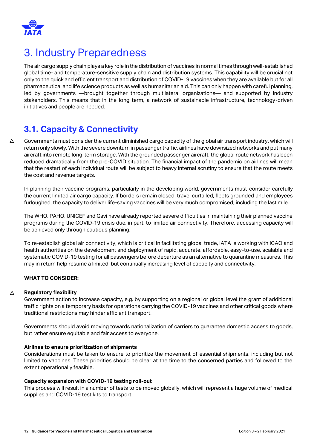

# <span id="page-11-0"></span>3. Industry Preparedness

The air cargo supply chain plays a key role in the distribution of vaccines in normal times through well-established global time- and temperature-sensitive supply chain and distribution systems. This capability will be crucial not only to the quick and efficient transport and distribution of COVID-19 vaccines when they are available but for all pharmaceutical and life science products as well as humanitarian aid. This can only happen with careful planning, led by governments —brought together through multilateral organizations— and supported by industry stakeholders. This means that in the long term, a network of sustainable infrastructure, technology-driven initiatives and people are needed.

### **3.1. Capacity & Connectivity**

<span id="page-11-1"></span>△ Governments must consider the current diminished cargo capacity of the global air transport industry, which will return only slowly. With the severe downturn in passenger traffic, airlines have downsized networks and put many aircraft into remote long-term storage. With the grounded passenger aircraft, the global route network has been reduced dramatically from the pre-COVID situation. The financial impact of the pandemic on airlines will mean that the restart of each individual route will be subject to heavy internal scrutiny to ensure that the route meets the cost and revenue targets.

In planning their vaccine programs, particularly in the developing world, governments must consider carefully the current limited air cargo capacity. If borders remain closed, travel curtailed, fleets grounded and employees furloughed, the capacity to deliver life-saving vaccines will be very much compromised, including the last mile.

The WHO, PAHO, UNICEF and Gavi have already reported severe difficulties in maintaining their planned vaccine programs during the COVID-19 crisis due, in part, to limited air connectivity. Therefore, accessing capacity will be achieved only through cautious planning.

To re-establish global air connectivity, which is critical in facilitating global trade, IATA is working with ICAO and health authorities on the development and deployment of rapid, accurate, affordable, easy-to-use, scalable and systematic COVID-19 testing for all passengers before departure as an alternative to quarantine measures. This may in return help resume a limited, but continually increasing level of capacity and connectivity.

#### **WHAT TO CONSIDER:**

#### △ **Regulatory flexibility**

Government action to increase capacity, e.g. by supporting on a regional or global level the grant of additional traffic rights on a temporary basis for operations carrying the COVID-19 vaccines and other critical goods where traditional restrictions may hinder efficient transport.

Governments should avoid moving towards nationalization of carriers to guarantee domestic access to goods, but rather ensure equitable and fair access to everyone.

#### **Airlines to ensure prioritization of shipments**

Considerations must be taken to ensure to prioritize the movement of essential shipments, including but not limited to vaccines. These priorities should be clear at the time to the concerned parties and followed to the extent operationally feasible.

#### **Capacity expansion with COVID-19 testing roll-out**

This process will result in a number of tests to be moved globally, which will represent a huge volume of medical supplies and COVID-19 test kits to transport.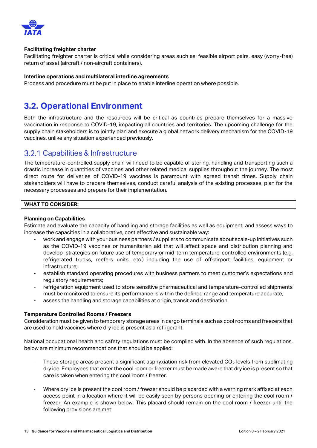

#### **Facilitating freighter charter**

Facilitating freighter charter is critical while considering areas such as: feasible airport pairs, easy (worry-free) return of asset (aircraft / non-aircraft containers).

#### **Interline operations and multilateral interline agreements**

Process and procedure must be put in place to enable interline operation where possible.

### <span id="page-12-0"></span>**3.2. Operational Environment**

Both the infrastructure and the resources will be critical as countries prepare themselves for a massive vaccination in response to COVID-19, impacting all countries and territories. The upcoming challenge for the supply chain stakeholders is to jointly plan and execute a global network delivery mechanism for the COVID-19 vaccines, unlike any situation experienced previously.

### <span id="page-12-1"></span>3.2.1 Capabilities & Infrastructure

The temperature-controlled supply chain will need to be capable of storing, handling and transporting such a drastic increase in quantities of vaccines and other related medical supplies throughout the journey. The most direct route for deliveries of COVID-19 vaccines is paramount with agreed transit times. Supply chain stakeholders will have to prepare themselves, conduct careful analysis of the existing processes, plan for the necessary processes and prepare for their implementation.

#### **WHAT TO CONSIDER:**

#### **Planning on Capabilities**

Estimate and evaluate the capacity of handling and storage facilities as well as equipment; and assess ways to increase the capacities in a collaborative, cost effective and sustainable way:

- work and engage with your business partners / suppliers to communicate about scale-up initiatives such as the COVID-19 vaccines or humanitarian aid that will affect space and distribution planning and develop strategies on future use of temporary or mid-term temperature-controlled environments (e.g. refrigerated trucks, reefers units, etc.) including the use of off-airport facilities, equipment or infrastructure;
- establish standard operating procedures with business partners to meet customer's expectations and regulatory requirements;
- refrigeration equipment used to store sensitive pharmaceutical and temperature-controlled shipments must be monitored to ensure its performance is within the defined range and temperature accurate;
- assess the handling and storage capabilities at origin, transit and destination.

#### **Temperature Controlled Rooms / Freezers**

Consideration must be given to temporary storage areas in cargo terminals such as cool rooms and freezers that are used to hold vaccines where dry ice is present as a refrigerant.

National occupational health and safety regulations must be complied with. In the absence of such regulations, below are minimum recommendations that should be applied:

- These storage areas present a significant asphyxiation risk from elevated  $CO<sub>2</sub>$  levels from sublimating dry ice. Employees that enter the cool room or freezer must be made aware that dry ice is present so that care is taken when entering the cool room / freezer.
- Where dry ice is present the cool room / freezer should be placarded with a warning mark affixed at each access point in a location where it will be easily seen by persons opening or entering the cool room / freezer. An example is shown below. This placard should remain on the cool room / freezer until the following provisions are met: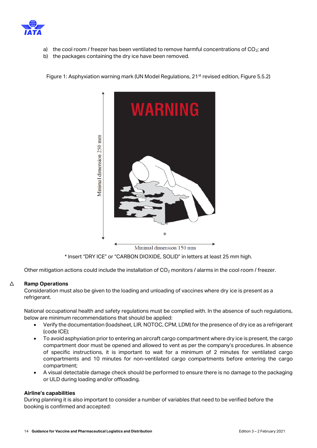

- a) the cool room / freezer has been ventilated to remove harmful concentrations of  $CO<sub>2</sub>$ ; and
- b) the packages containing the dry ice have been removed.

Figure 1: Asphyxiation warning mark (UN Model Regulations, 21<sup>st</sup> revised edition, Figure 5.5.2)



\* Insert "DRY ICE" or "CARBON DIOXIDE, SOLID" in letters at least 25 mm high.

Other mitigation actions could include the installation of  $CO<sub>2</sub>$  monitors / alarms in the cool room / freezer.

#### $\triangle$ **Ramp Operations**

Consideration must also be given to the loading and unloading of vaccines where dry ice is present as a refrigerant.

National occupational health and safety regulations must be complied with. In the absence of such regulations, below are minimum recommendations that should be applied:

- Verify the documentation (loadsheet, LIR, NOTOC, CPM, LDM) for the presence of dry ice as a refrigerant (code ICE);
- To avoid asphyxiation prior to entering an aircraft cargo compartment where dry ice is present, the cargo compartment door must be opened and allowed to vent as per the company's procedures. In absence of specific instructions, it is important to wait for a minimum of 2 minutes for ventilated cargo compartments and 10 minutes for non-ventilated cargo compartments before entering the cargo compartment;
- A visual detectable damage check should be performed to ensure there is no damage to the packaging or ULD during loading and/or offloading.

#### **Airline's capabilities**

During planning it is also important to consider a number of variables that need to be verified before the booking is confirmed and accepted: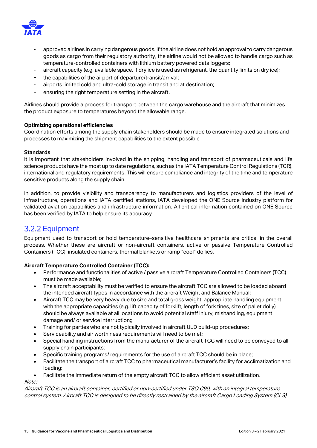

- approved airlines in carrying dangerous goods. If the airline does not hold an approval to carry dangerous goods as cargo from their regulatory authority, the airline would not be allowed to handle cargo such as temperature-controlled containers with lithium battery powered data loggers;
- aircraft capacity (e.g. available space, if dry ice is used as refrigerant, the quantity limits on dry ice);
- the capabilities of the airport of departure/transit/arrival;
- airports limited cold and ultra-cold storage in transit and at destination;
- ensuring the right temperature setting in the aircraft.

Airlines should provide a process for transport between the cargo warehouse and the aircraft that minimizes the product exposure to temperatures beyond the allowable range.

#### **Optimizing operational efficiencies**

Coordination efforts among the supply chain stakeholders should be made to ensure integrated solutions and processes to maximizing the shipment capabilities to the extent possible

#### **Standards**

It is important that stakeholders involved in the shipping, handling and transport of pharmaceuticals and life science products have the most up to date regulations, such as the IATA Temperature Control Regulations (TCR), international and regulatory requirements. This will ensure compliance and integrity of the time and temperature sensitive products along the supply chain.

In addition, to provide visibility and transparency to manufacturers and logistics providers of the level of infrastructure, operations and IATA certified stations, IATA developed the ONE Source industry platform for validated aviation capabilities and infrastructure information. All critical information contained on ONE Source has been verified by IATA to help ensure its accuracy.

### <span id="page-14-0"></span>3.2.2 Equipment

Equipment used to transport or hold temperature–sensitive healthcare shipments are critical in the overall process. Whether these are aircraft or non-aircraft containers, active or passive Temperature Controlled Containers (TCC), insulated containers, thermal blankets or ramp "cool" dollies.

#### **Aircraft Temperature Controlled Container (TCC):**

- Performance and functionalities of active / passive aircraft Temperature Controlled Containers (TCC) must be made available;
- The aircraft acceptability must be verified to ensure the aircraft TCC are allowed to be loaded aboard the intended aircraft types in accordance with the aircraft Weight and Balance Manual;
- Aircraft TCC may be very heavy due to size and total gross weight, appropriate handling equipment with the appropriate capacities (e.g. lift capacity of forklift, length of fork tines, size of pallet dolly) should be always available at all locations to avoid potential staff injury, mishandling, equipment damage and/ or service interruption;;
- Training for parties who are not typically involved in aircraft ULD build-up procedures;
- Serviceability and air worthiness requirements will need to be met;
- Special handling instructions from the manufacturer of the aircraft TCC will need to be conveyed to all supply chain participants;
- Specific training programs/ requirements for the use of aircraft TCC should be in place;
- Facilitate the transport of aircraft TCC to pharmaceutical manufacturer's facility for acclimatization and loading;
- Facilitate the immediate return of the empty aircraft TCC to allow efficient asset utilization.

#### Note:

Aircraft TCC is an aircraft container, certified or non-certified under TSO C90, with an integral temperature control system. Aircraft TCC is designed to be directly restrained by the aircraft Cargo Loading System (CLS).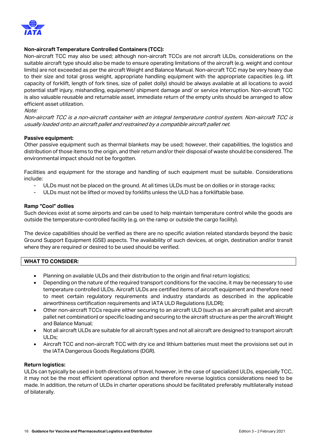

#### **Non-aircraft Temperature Controlled Containers (TCC):**

Non-aircraft TCC may also be used; although non-aircraft TCCs are not aircraft ULDs, considerations on the suitable aircraft type should also be made to ensure operating limitations of the aircraft (e.g. weight and contour limits) are not exceeded as per the aircraft Weight and Balance Manual. Non-aircraft TCC may be very heavy due to their size and total gross weight, appropriate handling equipment with the appropriate capacities (e.g. lift capacity of forklift, length of fork tines, size of pallet dolly) should be always available at all locations to avoid potential staff injury, mishandling, equipment/ shipment damage and/ or service interruption. Non-aircraft TCC is also valuable reusable and returnable asset, immediate return of the empty units should be arranged to allow efficient asset utilization.

#### Note:

Non-aircraft TCC is a non-aircraft container with an integral temperature control system. Non-aircraft TCC is usually loaded onto an aircraft pallet and restrained by a compatible aircraft pallet net.

#### **Passive equipment:**

Other passive equipment such as thermal blankets may be used; however, their capabilities, the logistics and distribution of those items to the origin, and their return and/or their disposal of waste should be considered. The environmental impact should not be forgotten.

Facilities and equipment for the storage and handling of such equipment must be suitable. Considerations include:

- ULDs must not be placed on the ground. At all times ULDs must be on dollies or in storage racks;
- ULDs must not be lifted or moved by forklifts unless the ULD has a forkliftable base.

#### **Ramp "Cool" dollies**

Such devices exist at some airports and can be used to help maintain temperature control while the goods are outside the temperature-controlled facility (e.g. on the ramp or outside the cargo facility).

The device capabilities should be verified as there are no specific aviation related standards beyond the basic Ground Support Equipment (GSE) aspects. The availability of such devices, at origin, destination and/or transit where they are required or desired to be used should be verified.

#### **WHAT TO CONSIDER:**

- Planning on available ULDs and their distribution to the origin and final return logistics;
- Depending on the nature of the required transport conditions for the vaccine, it may be necessary to use temperature controlled ULDs. Aircraft ULDs are certified items of aircraft equipment and therefore need to meet certain regulatory requirements and industry standards as described in the applicable airworthiness certification requirements and IATA ULD Regulations (ULDR);
- Other non-aircraft TCCs require either securing to an aircraft ULD (such as an aircraft pallet and aircraft pallet net combination) or specific loading and securing to the aircraft structure as per the aircraft Weight and Balance Manual;
- Not all aircraft ULDs are suitable for all aircraft types and not all aircraft are designed to transport aircraft ULDs;
- Aircraft TCC and non-aircraft TCC with dry ice and lithium batteries must meet the provisions set out in the IATA Dangerous Goods Regulations (DGR).

#### **Return logistics:**

ULDs can typically be used in both directions of travel, however, in the case of specialized ULDs, especially TCC, it may not be the most efficient operational option and therefore reverse logistics considerations need to be made. In addition, the return of ULDs in charter operations should be facilitated preferably multilaterally instead of bilaterally.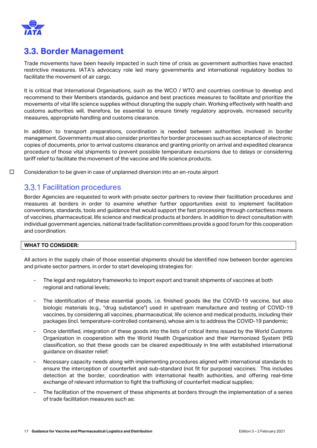

### <span id="page-16-0"></span>**3.3. Border Management**

Trade movements have been heavily impacted in such time of crisis as government authorities have enacted restrictive measures. IATA's advocacy role led many governments and international regulatory bodies to facilitate the movement of air cargo.

It is critical that International Organisations, such as the WCO / WTO and countries continue to develop and recommend to their Members standards, guidance and best practices measures to facilitate and prioritize the movements of vital life science supplies without disrupting the supply chain. Working effectively with health and customs authorities will, therefore, be essential to ensure timely regulatory approvals, increased security measures, appropriate handling and customs clearance.

In addition to transport preparations, coordination is needed between authorities involved in border management. Governments must also consider priorities for border processes such as acceptance of electronic copies of documents, prior to arrival customs clearance and granting priority on arrival and expedited clearance procedure of those vital shipments to prevent possible temperature excursions due to delays or considering tariff relief to facilitate the movement of the vaccine and life science products.

□ Consideration to be given in case of unplanned diversion into an en-route airport

### <span id="page-16-1"></span>**3.3.1 Facilitation procedures**

Border Agencies are requested to work with private sector partners to review their facilitation procedures and measures at borders in order to examine whether further opportunities exist to implement facilitation conventions, standards, tools and guidance that would support the fast processing through contactless means of vaccines, pharmaceutical, life science and medical products at borders. In addition to direct consultation with individual government agencies, national trade facilitation committees provide a good forum for this cooperation and coordination.

#### **WHAT TO CONSIDER:**

All actors in the supply chain of those essential shipments should be identified now between border agencies and private sector partners, in order to start developing strategies for:

- The legal and regulatory frameworks to import export and transit shipments of vaccines at both regional and national levels;
- The identification of these essential goods, i.e. finished goods like the COVID-19 vaccine, but also biologic materials (e.g., "drug substance") used in upstream manufacture and testing of COVID-19 vaccines, by considering all vaccines, pharmaceutical, life science and medical products, including their packages (incl. temperature-controlled containers), whose aim is to address the COVID-19 pandemic;
- Once identified, integration of these goods into the lists of critical items issued by the World Customs Organization in cooperation with the World Health Organization and their Harmonized System (HS) classification, so that these goods can be cleared expeditiously in line with established international guidance on disaster relief;
- Necessary capacity needs along with implementing procedures aligned with international standards to ensure the interception of counterfeit and sub-standard (not fit for purpose) vaccines. This includes detection at the border, coordination with international health authorities, and offering real-time exchange of relevant information to fight the trafficking of counterfeit medical supplies;
- The facilitation of the movement of these shipments at borders through the implementation of a series of trade facilitation measures such as: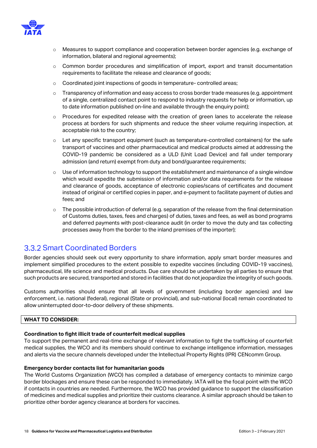

- o Measures to support compliance and cooperation between border agencies (e.g. exchange of information, bilateral and regional agreements);
- o Common border procedures and simplification of import, export and transit documentation requirements to facilitate the release and clearance of goods;
- o Coordinated joint inspections of goods in temperature- controlled areas;
- o Transparency of information and easy access to cross border trade measures (e.g. appointment of a single, centralized contact point to respond to industry requests for help or information, up to date information published on-line and available through the enquiry point);
- $\circ$  Procedures for expedited release with the creation of green lanes to accelerate the release process at borders for such shipments and reduce the sheer volume requiring inspection, at acceptable risk to the country;
- o Let any specific transport equipment (such as temperature-controlled containers) for the safe transport of vaccines and other pharmaceutical and medical products aimed at addressing the COVID-19 pandemic be considered as a ULD (Unit Load Device) and fall under temporary admission (and return) exempt from duty and bond/guarantee requirements;
- o Use of information technology to support the establishment and maintenance of a single window which would expedite the submission of information and/or data requirements for the release and clearance of goods, acceptance of electronic copies/scans of certificates and document instead of original or certified copies in paper, and e-payment to facilitate payment of duties and fees; and
- $\circ$  The possible introduction of deferral (e.g. separation of the release from the final determination of Customs duties, taxes, fees and charges) of duties, taxes and fees, as well as bond programs and deferred payments with post-clearance audit (in order to move the duty and tax collecting processes away from the border to the inland premises of the importer);

### <span id="page-17-0"></span>**3.3.2 Smart Coordinated Borders**

Border agencies should seek out every opportunity to share information, apply smart border measures and implement simplified procedures to the extent possible to expedite vaccines (including COVID-19 vaccines), pharmaceutical, life science and medical products. Due care should be undertaken by all parties to ensure that such products are secured, transported and stored in facilities that do not jeopardize the integrity of such goods.

Customs authorities should ensure that all levels of government (including border agencies) and law enforcement, i.e. national (federal), regional (State or provincial), and sub-national (local) remain coordinated to allow uninterrupted door-to-door delivery of these shipments.

#### **WHAT TO CONSIDER:**

#### **Coordination to fight illicit trade of counterfeit medical supplies**

To support the permanent and real-time exchange of relevant information to fight the trafficking of counterfeit medical supplies, the WCO and its members should continue to exchange intelligence information, messages and alerts via the secure channels developed under the Intellectual Property Rights (IPR) CENcomm Group.

#### **Emergency border contacts list for humanitarian goods**

The World Customs Organization (WCO) has compiled a database of emergency contacts to minimize cargo border blockages and ensure these can be responded to immediately. IATA will be the focal point with the WCO if contacts in countries are needed. Furthermore, the WCO has provided guidance to support the classification of medicines and medical supplies and prioritize their customs clearance. A similar approach should be taken to prioritize other border agency clearance at borders for vaccines.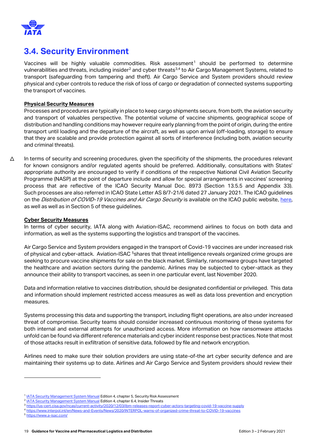

### <span id="page-18-0"></span>**3.4. Security Environment**

Vaccines will be highly valuable commodities. Risk assessment<sup>1</sup> should be performed to determine vulnerabilities and threats, including insider<sup>2</sup> and cyber threats<sup>3,4</sup> to Air Cargo Management Systems, related to transport (safeguarding from tampering and theft). Air Cargo Service and System providers should review physical and cyber controls to reduce the risk of loss of cargo or degradation of connected systems supporting the transport of vaccines.

#### **Physical Security Measures**

Processes and procedures are typically in place to keep cargo shipments secure, from both, the aviation security and transport of valuables perspective. The potential volume of vaccine shipments, geographical scope of distribution and handling conditions may however require early planning from the point of origin, during the entire transport until loading and the departure of the aircraft, as well as upon arrival (off-loading, storage) to ensure that they are scalable and provide protection against all sorts of interference (including both, aviation security and criminal threats).

△ In terms of security and screening procedures, given the specificity of the shipments, the procedures relevant for known consignors and/or regulated agents should be preferred. Additionally, consultations with States' appropriate authority are encouraged to verify if conditions of the respective National Civil Aviation Security Programme (NASP) at the point of departure include and allow for special arrangements in vaccines' screening process that are reflective of the ICAO Security Manual Doc. 8973 (Section 13.5.5 and Appendix 33). Such processes are also referred in ICAO State Letter AS 8/7-21/6 dated 27 January 2021. The ICAO guidelines on the *Distribution of COVID-19 Vaccines and Air Cargo Security* is available on the ICAO public website, [here,](https://www.icao.int/Security/aircargo/Pages/The-Distribution-of-COVID-19-Vaccines-and-Air-Cargo-Security.aspx) as well as well as in Section 5 of these guidelines.

#### **Cyber Security Measures**

In terms of cyber security, IATA along with Aviation-ISAC, recommend airlines to focus on both data and information, as well as the systems supporting the logistics and transport of the vaccines.

Air Cargo Service and System providers engaged in the transport of Covid-19 vaccines are under increased risk of physical and cyber-attack. Aviation-ISAC <sup>5</sup>shares that threat intelligence reveals organized crime groups are seeking to procure vaccine shipments for sale on the black market. Similarly, ransomware groups have targeted the healthcare and aviation sectors during the pandemic. Airlines may be subjected to cyber-attack as they announce their ability to transport vaccines, as seen in one particular event, last November 2020.

Data and information relative to vaccines distribution, should be designated confidential or privileged. This data and information should implement restricted access measures as well as data loss prevention and encryption measures.

Systems processing this data and supporting the transport, including flight operations, are also under increased threat of compromise. Security teams should consider increased continuous monitoring of these systems for both internal and external attempts for unauthorized access. More information on how ransomware attacks unfold can be found via different reference materials and cyber incident response best practices. Note that most of those attacks result in exfiltration of sensitive data, followed by file and network encryption.

Airlines need to make sure their solution providers are using state-of-the art cyber security defence and are maintaining their systems up to date. Airlines and Air Cargo Service and System providers should review their

<sup>&</sup>lt;sup>1</sup> [IATA Security Management System Manual](https://www.iata.org/en/publications/store/security-management-system-manual/) Edition 4, chapter 5, Security Risk Assessment

<sup>&</sup>lt;sup>2</sup> [IATA Security Management System Manual](https://www.iata.org/en/publications/store/security-management-system-manual/) Edition 4, chapter 6.4, Insider Threats

<sup>3</sup> https://us-cert.cisa.gov/ncas/current-activity/2020/12/03/ibm-releases-report-cyber-actors-targeting-covid-19-vaccine

<sup>4</sup> <https://www.interpol.int/en/News-and-Events/News/2020/INTERPOL-warns-of-organized-crime-threat-to-COVID-19-vaccines>

<sup>5</sup> <https://www.a-isac.com/>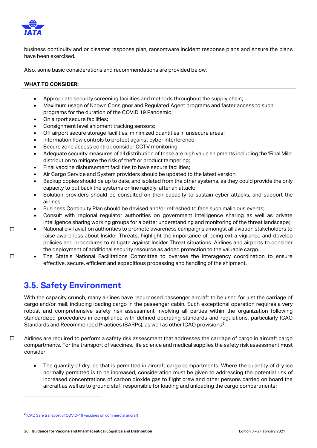

 $\Box$ 

 $\Box$ 

business continuity and or disaster response plan, ransomware incident response plans and ensure the plans have been exercised.

Also, some basic considerations and recommendations are provided below.

#### **WHAT TO CONSIDER:**

- Appropriate security screening facilities and methods throughout the supply chain;
- Maximum usage of Known Consignor and Regulated Agent programs and faster access to such programs for the duration of the COVID 19 Pandemic;
- On airport secure facilities;
- Consignment level shipment tracking sensors;
- Off airport secure storage facilities, minimized quantities in unsecure areas;
- Information flow controls to protect against cyber interference;
- Secure zone access control, consider CCTV monitoring;
- Adequate security measures of all distribution of these are high value shipments including the 'Final Mile' distribution to mitigate the risk of theft or product tampering;
- Final vaccine disbursement facilities to have secure facilities;
- Air Cargo Service and System providers should be updated to the latest version;
- Backup copies should be up to date, and isolated from the other systems, as they could provide the only capacity to put back the systems online rapidly, after an attack;
- Solution providers should be consulted on their capacity to sustain cyber-attacks, and support the airlines;
- Business Continuity Plan should be devised and/or refreshed to face such malicious events;
- Consult with regional regulator authorities on government intelligence sharing as well as private intelligence sharing working groups for a better understanding and monitoring of the threat landscape;
- National civil aviation authorities to promote awareness campaigns amongst all aviation stakeholders to raise awareness about Insider Threats, highlight the importance of being extra vigilance and develop policies and procedures to mitigate against Insider Threat situations. Airlines and airports to consider the deployment of additional security resource as added protection to the valuable cargo.
- The State's National Facilitations Committee to oversee the interagency coordination to ensure effective, secure, efficient and expeditious processing and handling of the shipment.

### <span id="page-19-0"></span>**3.5. Safety Environment**

With the capacity crunch, many airlines have repurposed passenger aircraft to be used for just the carriage of cargo and/or mail, including loading cargo in the passenger cabin. Such exceptional operation requires a very robust and comprehensive safety risk assessment involving all parties within the organization following standardized procedures in compliance with defined operating standards and regulations, particularly ICAO Standards and Recommended Practices (SARPs), as well as other ICAO provisions<sup>6</sup>.

- □ Airlines are required to perform a safety risk assessment that addresses the carriage of cargo in aircraft cargo compartments. For the transport of vaccines, life science and medical supplies the safety risk assessment must consider:
	- The quantity of dry ice that is permitted in aircraft cargo compartments. Where the quantity of dry ice normally permitted is to be increased, consideration must be given to addressing the potential risk of increased concentrations of carbon dioxide gas to flight crew and other persons carried on board the aircraft as well as to ground staff responsible for loading and unloading the cargo compartments;

**<sup>6</sup>** [ICAO Safe transport of COVID-19 vaccines on commercial aircraft](https://www.icao.int/safety/OPS/OPS-Normal/Pages/Vaccines-Transport.aspx)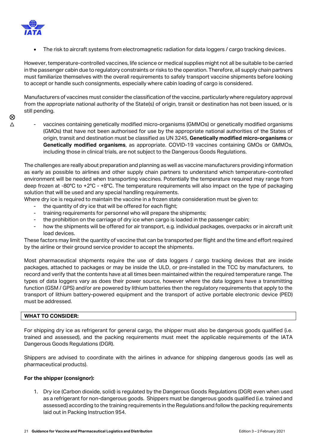

The risk to aircraft systems from electromagnetic radiation for data loggers / cargo tracking devices.

However, temperature-controlled vaccines, life science or medical supplies might not all be suitable to be carried in the passenger cabin due to regulatory constraints or risks to the operation. Therefore, all supply chain partners must familiarize themselves with the overall requirements to safely transport vaccine shipments before looking to accept or handle such consignments, especially where cabin loading of cargo is considered.

Manufacturers of vaccines must consider the classification of the vaccine, particularly where regulatory approval from the appropriate national authority of the State(s) of origin, transit or destination has not been issued, or is still pending.

- $\triangle$  $\otimes$
- vaccines containing genetically modified micro-organisms (GMMOs) or genetically modified organisms (GMOs) that have not been authorised for use by the appropriate national authorities of the States of origin, transit and destination must be classified as UN 3245, **Genetically modified micro-organisms** or **Genetically modified organisms**, as appropriate. COVID-19 vaccines containing GMOs or GMMOs, including those in clinical trials, are not subject to the Dangerous Goods Regulations.

The challenges are really about preparation and planning as well as vaccine manufacturers providing information as early as possible to airlines and other supply chain partners to understand which temperature-controlled environment will be needed when transporting vaccines. Potentially the temperature required may range from deep frozen at -80°C to +2°C - +8°C. The temperature requirements will also impact on the type of packaging solution that will be used and any special handling requirements.

Where dry ice is required to maintain the vaccine in a frozen state consideration must be given to:

- the quantity of dry ice that will be offered for each flight;
- training requirements for personnel who will prepare the shipments;
- the prohibition on the carriage of dry ice when cargo is loaded in the passenger cabin;
- how the shipments will be offered for air transport, e.g. individual packages, overpacks or in aircraft unit load devices.

These factors may limit the quantity of vaccine that can be transported per flight and the time and effort required by the airline or their ground service provider to accept the shipments.

Most pharmaceutical shipments require the use of data loggers / cargo tracking devices that are inside packages, attached to packages or may be inside the ULD, or pre-installed in the TCC by manufacturers, to record and verify that the contents have at all times been maintained within the required temperature range. The types of data loggers vary as does their power source, however where the data loggers have a transmitting function (GSM / GPS) and/or are powered by lithium batteries then the regulatory requirements that apply to the transport of lithium battery-powered equipment and the transport of active portable electronic device (PED) must be addressed.

#### **WHAT TO CONSIDER:**

For shipping dry ice as refrigerant for general cargo, the shipper must also be dangerous goods qualified (i.e. trained and assessed), and the packing requirements must meet the applicable requirements of the IATA Dangerous Goods Regulations (DGR).

Shippers are advised to coordinate with the airlines in advance for shipping dangerous goods (as well as pharmaceutical products).

#### **For the shipper (consignor):**

1. Dry ice (Carbon dioxide, solid) is regulated by the Dangerous Goods Regulations (DGR) even when used as a refrigerant for non-dangerous goods. Shippers must be dangerous goods qualified (i.e. trained and assessed) according to the training requirements in the Regulations and follow the packing requirements laid out in Packing Instruction 954.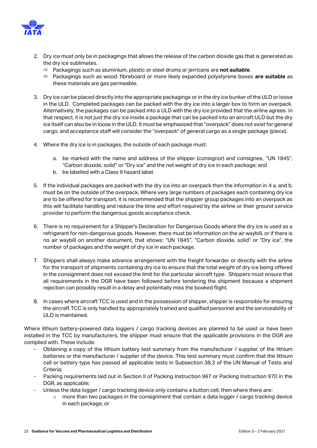

- 2. Dry ice must only be in packagings that allows the release of the carbon dioxide gas that is generated as the dry ice sublimates.
	- Packagings such as aluminium, plastic or steel drums or jerricans are **not suitable**.
	- Packagings such as wood, fibreboard or more likely expanded polystyrene boxes **are suitable** as these materials are gas permeable.
- 3. Dry ice can be placed directly into the appropriate packagings or in the dry ice bunker of the ULD or loose in the ULD. Completed packages can be packed with the dry ice into a larger box to form an overpack. Alternatively, the packages can be packed into a ULD with the dry ice provided that the airline agrees. In that respect, it is not just the dry ice inside a package that can be packed into an aircraft ULD but the dry ice itself can also be in loose in the ULD. It must be emphasized that "overpack" does not exist for general cargo, and acceptance staff will consider the "overpack" of general cargo as a single package (piece).
- 4. Where the dry ice is in packages, the outside of each package must:
	- a. be marked with the name and address of the shipper (consignor) and consignee, "UN 1845", "Carbon dioxide, solid" or "Dry ice" and the net weight of dry ice in each package; and
	- b. be labelled with a Class 9 hazard label.
- 5. If the individual packages are packed with the dry ice into an overpack then the information in 4 a. and b. must be on the outside of the overpack. Where very large numbers of packages each containing dry ice are to be offered for transport, it is recommended that the shipper group packages into an overpack as this will facilitate handling and reduce the time and effort required by the airline or their ground service provider to perform the dangerous goods acceptance check.
- 6. There is no requirement for a Shipper's Declaration for Dangerous Goods where the dry ice is used as a refrigerant for non-dangerous goods. However, there must be information on the air waybill, or if there is no air waybill on another document, that shows: "UN 1845", "Carbon dioxide, solid" or "Dry ice", the number of packages and the weight of dry ice in each package.
- 7. Shippers shall always make advance arrangement with the freight forwarder or directly with the airline for the transport of shipments containing dry ice to ensure that the total weight of dry ice being offered in the consignment does not exceed the limit for the particular aircraft type. Shippers must ensure that all requirements in the DGR have been followed before tendering the shipment because a shipment rejection can possibly result in a delay and potentially miss the booked flight.
- 8. In cases where aircraft TCC is used and in the possession of shipper, shipper is responsible for ensuring the aircraft TCC is only handled by appropriately trained and qualified personnel and the serviceability of ULD is maintained.

Where lithium battery-powered data loggers / cargo tracking devices are planned to be used or have been installed in the TCC by manufacturers, the shipper must ensure that the applicable provisions in the DGR are complied with. These include:

- Obtaining a copy of the lithium battery test summary from the manufacturer / supplier of the lithium batteries or the manufacturer / supplier of the device. This test summary must confirm that the lithium cell or battery type has passed all applicable tests in Subsection 38.3 of the UN Manual of Tests and Criteria;
- Packing requirements laid out in Section II of Packing Instruction 967 or Packing Instruction 970 in the DGR, as applicable;
	- Unless the data logger / cargo tracking device only contains a button cell, then where there are:
		- $\circ$  more than two packages in the consignment that contain a data logger / cargo tracking device in each package, or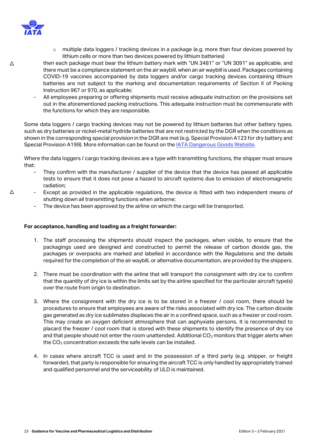

o multiple data loggers / tracking devices in a package (e.g. more than four devices powered by lithium cells or more than two devices powered by lithium batteries)

 $\wedge$ 

- then each package must bear the lithium battery mark with "UN 3481" or "UN 3091" as applicable, and there must be a compliance statement on the air waybill, when an air waybill is used. Packages containing COVID-19 vaccines accompanied by data loggers and/or cargo tracking devices containing lithium batteries are not subject to the marking and documentation requirements of Section II of Packing Instruction 967 or 970, as applicable;
- All employees preparing or offering shipments must receive adequate instruction on the provisions set out in the aforementioned packing instructions. This adequate instruction must be commensurate with the functions for which they are responsible.

Some data loggers / cargo tracking devices may not be powered by lithium batteries but other battery types, such as dry batteries or nickel-metal hydride batteries that are not restricted by the DGR when the conditions as shown in the corresponding special provision in the DGR are met (e.g. Special Provision A123 for dry battery and Special Provision A199). More information can be found on the [IATA Dangerous Goods Website.](https://www.iata.org/dgr-updates)

Where the data loggers / cargo tracking devices are a type with transmitting functions, the shipper must ensure that:

- They confirm with the manufacturer / supplier of the device that the device has passed all applicable tests to ensure that it does not pose a hazard to aircraft systems due to emission of electromagnetic radiation;
- Except as provided in the applicable regulations, the device is fitted with two independent means of shutting down all transmitting functions when airborne;
	- The device has been approved by the airline on which the cargo will be transported.

#### **For acceptance, handling and loading as a freight forwarder:**

- 1. The staff processing the shipments should inspect the packages, when visible, to ensure that the packagings used are designed and constructed to permit the release of carbon dioxide gas, the packages or overpacks are marked and labelled in accordance with the Regulations and the details required for the completion of the air waybill, or alternative documentation, are provided by the shippers.
- 2. There must be coordination with the airline that will transport the consignment with dry ice to confirm that the quantity of dry ice is within the limits set by the airline specified for the particular aircraft type(s) over the route from origin to destination.
- 3. Where the consignment with the dry ice is to be stored in a freezer / cool room, there should be procedures to ensure that employees are aware of the risks associated with dry ice. The carbon dioxide gas generated as dry ice sublimates displaces the air in a confined space, such as a freezer or cool room. This may create an oxygen deficient atmosphere that can asphyxiate persons. It is recommended to placard the freezer / cool room that is stored with these shipments to identify the presence of dry ice and that people should not enter the room unattended. Additional  $CO<sub>2</sub>$  monitors that trigger alerts when the  $CO<sub>2</sub>$  concentration exceeds the safe levels can be installed.
- 4. In cases where aircraft TCC is used and in the possession of a third party (e.g. shipper, or freight forwarder), that party is responsible for ensuring the aircraft TCC is only handled by appropriately trained and qualified personnel and the serviceability of ULD is maintained.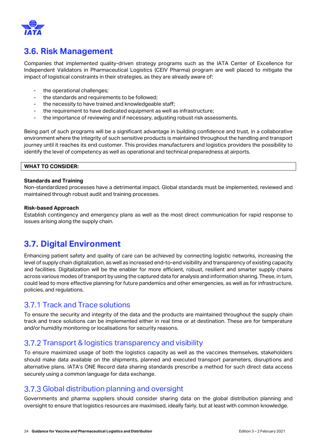

## <span id="page-23-0"></span>**3.6. Risk Management**

Companies that implemented quality-driven strategy programs such as the IATA Center of Excellence for Independent Validators in Pharmaceutical Logistics (CEIV Pharma) program are well placed to mitigate the impact of logistical constraints in their strategies, as they are already aware of:

- the operational challenges;
- the standards and requirements to be followed;
- the necessity to have trained and knowledgeable staff;
- the requirement to have dedicated equipment as well as infrastructure;
- the importance of reviewing and if necessary, adjusting robust risk assessments.

Being part of such programs will be a significant advantage in building confidence and trust, in a collaborative environment where the integrity of such sensitive products is maintained throughout the handling and transport journey until it reaches its end customer. This provides manufacturers and logistics providers the possibility to identify the level of competency as well as operational and technical preparedness at airports.

#### **WHAT TO CONSIDER:**

#### **Standards and Training**

Non-standardized processes have a detrimental impact. Global standards must be implemented, reviewed and maintained through robust audit and training processes.

#### **Risk-based Approach**

Establish contingency and emergency plans as well as the most direct communication for rapid response to issues arising along the supply chain.

### <span id="page-23-1"></span>**3.7. Digital Environment**

Enhancing patient safety and quality of care can be achieved by connecting logistic networks, increasing the level of supply chain digitalization, as well as increased end-to-end visibility and transparency of existing capacity and facilities. Digitalization will be the enabler for more efficient, robust, resilient and smarter supply chains across various modes of transport by using the captured data for analysis and information sharing. These, in turn, could lead to more effective planning for future pandemics and other emergencies, as well as for infrastructure, policies, and regulations.

### <span id="page-23-2"></span>3.7.1 Track and Trace solutions

To ensure the security and integrity of the data and the products are maintained throughout the supply chain track and trace solutions can be implemented either in real time or at destination. These are for temperature and/or humidity monitoring or localisations for security reasons.

### <span id="page-23-3"></span>3.7.2 Transport & logistics transparency and visibility

To ensure maximized usage of both the logistics capacity as well as the vaccines themselves, stakeholders should make data available on the shipments, planned and executed transport parameters, disruptions and alternative plans. IATA's ONE Record data sharing standards prescribe a method for such direct data access securely using a common language for data exchange.

### <span id="page-23-4"></span>3.7.3 Global distribution planning and oversight

Governments and pharma suppliers should consider sharing data on the global distribution planning and oversight to ensure that logistics resources are maximised, ideally fairly, but at least with common knowledge.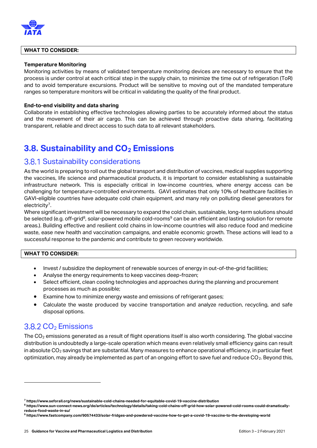

#### **WHAT TO CONSIDER:**

#### **Temperature Monitoring**

Monitoring activities by means of validated temperature monitoring devices are necessary to ensure that the process is under control at each critical step in the supply chain, to minimize the time out of refrigeration (ToR) and to avoid temperature excursions. Product will be sensitive to moving out of the mandated temperature ranges so temperature monitors will be critical in validating the quality of the final product.

#### **End-to-end visibility and data sharing**

Collaborate in establishing effective technologies allowing parties to be accurately informed about the status and the movement of their air cargo. This can be achieved through proactive data sharing, facilitating transparent, reliable and direct access to such data to all relevant stakeholders.

### <span id="page-24-0"></span>**3.8. Sustainability and CO<sup>2</sup> Emissions**

### <span id="page-24-1"></span>**3.8.1 Sustainability considerations**

As the world is preparing to roll out the global transport and distribution of vaccines, medical supplies supporting the vaccines, life science and pharmaceutical products, it is important to consider establishing a sustainable infrastructure network. This is especially critical in low-income countries, where energy access can be challenging for temperature-controlled environments. GAVI estimates that only 10% of healthcare facilities in GAVI-eligible countries have adequate cold chain equipment, and many rely on polluting diesel generators for electricity<sup>7</sup> .

Where significant investment will be necessary to expand the cold chain, sustainable, long-term solutions should be selected (e.g. off-grid<sup>8</sup>, solar-powered mobile cold-rooms<sup>9</sup> can be an efficient and lasting solution for remote areas.). Building effective and resilient cold chains in low-income countries will also reduce food and medicine waste, ease new health and vaccination campaigns, and enable economic growth. These actions will lead to a successful response to the pandemic and contribute to green recovery worldwide.

#### **WHAT TO CONSIDER:**

- Invest / subsidize the deployment of renewable sources of energy in out-of-the-grid facilities;
- Analyse the energy requirements to keep vaccines deep-frozen;
- Select efficient, clean cooling technologies and approaches during the planning and procurement processes as much as possible;
- Examine how to minimize energy waste and emissions of refrigerant gases;
- Calculate the waste produced by vaccine transportation and analyze reduction, recycling, and safe disposal options.

### <span id="page-24-2"></span> $3.8.2 \text{ CO}_2$  Emissions

The CO<sub>2</sub> emissions generated as a result of flight operations itself is also worth considering. The global vaccine distribution is undoubtedly a large-scale operation which means even relatively small efficiency gains can result in absolute  $CO<sub>2</sub>$  savings that are substantial. Many measures to enhance operational efficiency, in particular fleet optimization, may already be implemented as part of an ongoing effort to save fuel and reduce  $CO<sub>2</sub>$ . Beyond this,

**<sup>7</sup> https://www.seforall.org/news/sustainable-cold-chains-needed-for-equitable-covid-19-vaccine-distribution**

**<sup>8</sup> https://www.sun-connect-news.org/de/articles/technology/details/taking-cold-chains-off-grid-how-solar-powered-cold-rooms-could-dramaticallyreduce-food-waste-in-su/**

**<sup>9</sup> https://www.fastcompany.com/90574433/solar-fridges-and-powdered-vaccine-how-to-get-a-covid-19-vaccine-to-the-developing-world**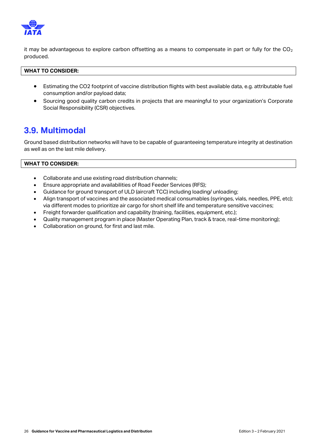

it may be advantageous to explore carbon offsetting as a means to compensate in part or fully for the  $CO<sub>2</sub>$ produced.

#### **WHAT TO CONSIDER:**

- Estimating the CO2 footprint of vaccine distribution flights with best available data, e.g. attributable fuel consumption and/or payload data;
- Sourcing good quality carbon credits in projects that are meaningful to your organization's Corporate Social Responsibility (CSR) objectives.

### <span id="page-25-0"></span>**3.9. Multimodal**

Ground based distribution networks will have to be capable of guaranteeing temperature integrity at destination as well as on the last mile delivery.

#### **WHAT TO CONSIDER:**

- Collaborate and use existing road distribution channels;
- Ensure appropriate and availabilities of Road Feeder Services (RFS);
- Guidance for ground transport of ULD (aircraft TCC) including loading/ unloading;
- Align transport of vaccines and the associated medical consumables (syringes, vials, needles, PPE, etc); via different modes to prioritize air cargo for short shelf life and temperature sensitive vaccines;
- Freight forwarder qualification and capability (training, facilities, equipment, etc.);
- Quality management program in place (Master Operating Plan, track & trace, real-time monitoring);
- Collaboration on ground, for first and last mile.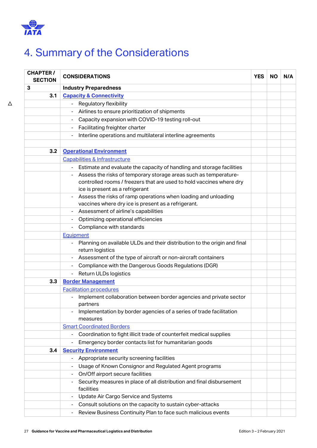

# <span id="page-26-0"></span>4. Summary of the Considerations

| <b>CHAPTER /</b><br><b>SECTION</b> | <b>CONSIDERATIONS</b>                                                                                     | <b>YES</b> | <b>NO</b> | N/A |
|------------------------------------|-----------------------------------------------------------------------------------------------------------|------------|-----------|-----|
| 3                                  | <b>Industry Preparedness</b>                                                                              |            |           |     |
| 3.1                                | <b>Capacity &amp; Connectivity</b>                                                                        |            |           |     |
|                                    | <b>Regulatory flexibility</b>                                                                             |            |           |     |
|                                    | Airlines to ensure prioritization of shipments                                                            |            |           |     |
|                                    | Capacity expansion with COVID-19 testing roll-out                                                         |            |           |     |
|                                    | Facilitating freighter charter                                                                            |            |           |     |
|                                    | Interline operations and multilateral interline agreements<br>÷                                           |            |           |     |
|                                    |                                                                                                           |            |           |     |
| 3.2                                | <b>Operational Environment</b>                                                                            |            |           |     |
|                                    | Capabilities & Infrastructure                                                                             |            |           |     |
|                                    | Estimate and evaluate the capacity of handling and storage facilities<br>$\blacksquare$                   |            |           |     |
|                                    | Assess the risks of temporary storage areas such as temperature-                                          |            |           |     |
|                                    | controlled rooms / freezers that are used to hold vaccines where dry                                      |            |           |     |
|                                    | ice is present as a refrigerant                                                                           |            |           |     |
|                                    | Assess the risks of ramp operations when loading and unloading                                            |            |           |     |
|                                    | vaccines where dry ice is present as a refrigerant.                                                       |            |           |     |
|                                    | Assessment of airline's capabilities<br>$\blacksquare$                                                    |            |           |     |
|                                    | Optimizing operational efficiencies                                                                       |            |           |     |
|                                    | Compliance with standards<br>$\qquad \qquad \blacksquare$                                                 |            |           |     |
|                                    | Equipment                                                                                                 |            |           |     |
|                                    | Planning on available ULDs and their distribution to the origin and final<br>$\qquad \qquad \blacksquare$ |            |           |     |
|                                    | return logistics                                                                                          |            |           |     |
|                                    | Assessment of the type of aircraft or non-aircraft containers                                             |            |           |     |
|                                    | Compliance with the Dangerous Goods Regulations (DGR)<br>$\blacksquare$                                   |            |           |     |
|                                    | Return ULDs logistics                                                                                     |            |           |     |
| 3.3                                | <b>Border Management</b>                                                                                  |            |           |     |
|                                    | <b>Facilitation procedures</b>                                                                            |            |           |     |
|                                    | Implement collaboration between border agencies and private sector<br>$\blacksquare$                      |            |           |     |
|                                    | partners                                                                                                  |            |           |     |
|                                    | Implementation by border agencies of a series of trade facilitation                                       |            |           |     |
|                                    | measures                                                                                                  |            |           |     |
| <b>Smart Coordinated Borders</b>   |                                                                                                           |            |           |     |
|                                    | Coordination to fight illicit trade of counterfeit medical supplies                                       |            |           |     |
|                                    | Emergency border contacts list for humanitarian goods                                                     |            |           |     |
|                                    | <b>Security Environment</b><br>3.4                                                                        |            |           |     |
|                                    | Appropriate security screening facilities                                                                 |            |           |     |
|                                    | Usage of Known Consignor and Regulated Agent programs                                                     |            |           |     |
|                                    | On/Off airport secure facilities<br>$\blacksquare$                                                        |            |           |     |
|                                    | Security measures in place of all distribution and final disbursement<br>facilities                       |            |           |     |
|                                    | Update Air Cargo Service and Systems                                                                      |            |           |     |
|                                    | Consult solutions on the capacity to sustain cyber-attacks                                                |            |           |     |
|                                    | Review Business Continuity Plan to face such malicious events                                             |            |           |     |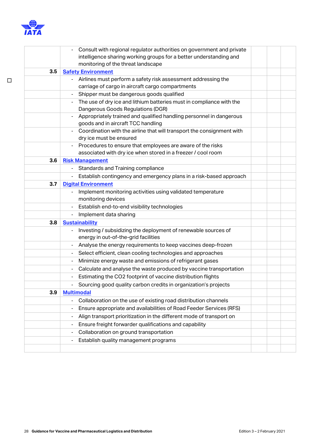

□

|     | Consult with regional regulator authorities on government and private                                                      |  |  |
|-----|----------------------------------------------------------------------------------------------------------------------------|--|--|
|     | intelligence sharing working groups for a better understanding and                                                         |  |  |
|     | monitoring of the threat landscape                                                                                         |  |  |
| 3.5 | <b>Safety Environment</b>                                                                                                  |  |  |
|     | Airlines must perform a safety risk assessment addressing the                                                              |  |  |
|     | carriage of cargo in aircraft cargo compartments                                                                           |  |  |
|     | Shipper must be dangerous goods qualified                                                                                  |  |  |
|     | The use of dry ice and lithium batteries must in compliance with the<br>۰                                                  |  |  |
|     | Dangerous Goods Regulations (DGR)                                                                                          |  |  |
|     | Appropriately trained and qualified handling personnel in dangerous                                                        |  |  |
|     | goods and in aircraft TCC handling                                                                                         |  |  |
|     | Coordination with the airline that will transport the consignment with<br>$\blacksquare$                                   |  |  |
|     | dry ice must be ensured                                                                                                    |  |  |
|     | Procedures to ensure that employees are aware of the risks<br>associated with dry ice when stored in a freezer / cool room |  |  |
| 3.6 | <b>Risk Management</b>                                                                                                     |  |  |
|     |                                                                                                                            |  |  |
|     | Standards and Training compliance                                                                                          |  |  |
|     | Establish contingency and emergency plans in a risk-based approach                                                         |  |  |
| 3.7 | <b>Digital Environment</b>                                                                                                 |  |  |
|     | Implement monitoring activities using validated temperature                                                                |  |  |
|     | monitoring devices                                                                                                         |  |  |
|     | Establish end-to-end visibility technologies                                                                               |  |  |
|     | Implement data sharing<br>$\blacksquare$                                                                                   |  |  |
| 3.8 | <b>Sustainability</b>                                                                                                      |  |  |
|     | Investing / subsidizing the deployment of renewable sources of                                                             |  |  |
|     | energy in out-of-the-grid facilities                                                                                       |  |  |
|     | Analyse the energy requirements to keep vaccines deep-frozen                                                               |  |  |
|     | Select efficient, clean cooling technologies and approaches<br>$\overline{\phantom{0}}$                                    |  |  |
|     | Minimize energy waste and emissions of refrigerant gases<br>۰                                                              |  |  |
|     | Calculate and analyse the waste produced by vaccine transportation                                                         |  |  |
|     | Estimating the CO2 footprint of vaccine distribution flights                                                               |  |  |
|     | Sourcing good quality carbon credits in organization's projects                                                            |  |  |
| 3.9 | <b>Multimodal</b>                                                                                                          |  |  |
|     | Collaboration on the use of existing road distribution channels                                                            |  |  |
|     | Ensure appropriate and availabilities of Road Feeder Services (RFS)                                                        |  |  |
|     | Align transport prioritization in the different mode of transport on                                                       |  |  |
|     | Ensure freight forwarder qualifications and capability                                                                     |  |  |
|     | Collaboration on ground transportation<br>$\qquad \qquad \blacksquare$                                                     |  |  |
|     | Establish quality management programs                                                                                      |  |  |
|     |                                                                                                                            |  |  |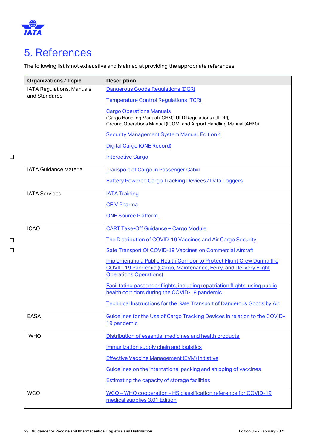

# <span id="page-28-0"></span>5. References

The following list is not exhaustive and is aimed at providing the appropriate references.

| <b>Organizations / Topic</b>  | <b>Description</b>                                                                                                           |
|-------------------------------|------------------------------------------------------------------------------------------------------------------------------|
| IATA Regulations, Manuals     | Dangerous Goods Regulations (DGR)                                                                                            |
| and Standards                 | <b>Temperature Control Regulations (TCR)</b>                                                                                 |
|                               | <b>Cargo Operations Manuals</b>                                                                                              |
|                               | (Cargo Handling Manual (ICHM), ULD Regulations (ULDR),<br>Ground Operations Manual (IGOM) and Airport Handling Manual (AHM)) |
|                               | <b>Security Management System Manual, Edition 4</b>                                                                          |
|                               | Digital Cargo (ONE Record)                                                                                                   |
|                               | <b>Interactive Cargo</b>                                                                                                     |
| <b>IATA Guidance Material</b> |                                                                                                                              |
|                               | <b>Transport of Cargo in Passenger Cabin</b>                                                                                 |
|                               | <b>Battery Powered Cargo Tracking Devices / Data Loggers</b>                                                                 |
| <b>IATA Services</b>          | <b>IATA Training</b>                                                                                                         |
|                               | <b>CEIV Pharma</b>                                                                                                           |
|                               | <b>ONE Source Platform</b>                                                                                                   |
| <b>ICAO</b>                   | <b>CART Take-Off Guidance - Cargo Module</b>                                                                                 |
|                               | The Distribution of COVID-19 Vaccines and Air Cargo Security                                                                 |
|                               | Safe Transport Of COVID-19 Vaccines on Commercial Aircraft                                                                   |
|                               | Implementing a Public Health Corridor to Protect Flight Crew During the                                                      |
|                               | COVID-19 Pandemic (Cargo, Maintenance, Ferry, and Delivery Flight<br><b>Operations Operations)</b>                           |
|                               | Facilitating passenger flights, including repatriation flights, using public                                                 |
|                               | health corridors during the COVID-19 pandemic                                                                                |
|                               | Technical Instructions for the Safe Transport of Dangerous Goods by Air                                                      |
| <b>EASA</b>                   | Guidelines for the Use of Cargo Tracking Devices in relation to the COVID-                                                   |
|                               | 19 pandemic                                                                                                                  |
| <b>WHO</b>                    | Distribution of essential medicines and health products                                                                      |
|                               | Immunization supply chain and logistics                                                                                      |
|                               | <b>Effective Vaccine Management (EVM) Initiative</b>                                                                         |
|                               | Guidelines on the international packing and shipping of vaccines                                                             |
|                               | <b>Estimating the capacity of storage facilities</b>                                                                         |
| <b>WCO</b>                    | WCO - WHO cooperation - HS classification reference for COVID-19                                                             |
|                               | medical supplies 3.01 Edition                                                                                                |

□ □